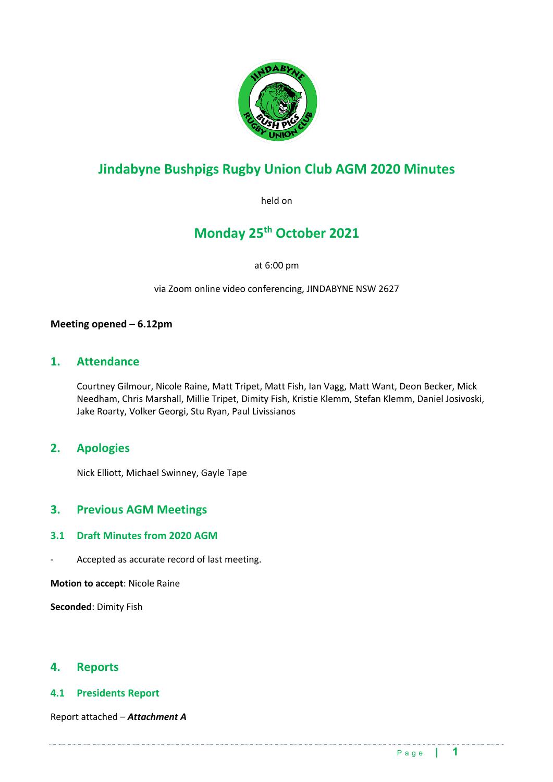

## **Jindabyne Bushpigs Rugby Union Club AGM 2020 Minutes**

held on

## **Monday 25th October 2021**

at 6:00 pm

via Zoom online video conferencing, JINDABYNE NSW 2627

### **Meeting opened – 6.12pm**

## **1. Attendance**

Courtney Gilmour, Nicole Raine, Matt Tripet, Matt Fish, Ian Vagg, Matt Want, Deon Becker, Mick Needham, Chris Marshall, Millie Tripet, Dimity Fish, Kristie Klemm, Stefan Klemm, Daniel Josivoski, Jake Roarty, Volker Georgi, Stu Ryan, Paul Livissianos

## **2. Apologies**

Nick Elliott, Michael Swinney, Gayle Tape

### **3. Previous AGM Meetings**

#### **3.1 Draft Minutes from 2020 AGM**

Accepted as accurate record of last meeting.

**Motion to accept**: Nicole Raine

**Seconded**: Dimity Fish

### **4. Reports**

#### **4.1 Presidents Report**

Report attached – *Attachment A*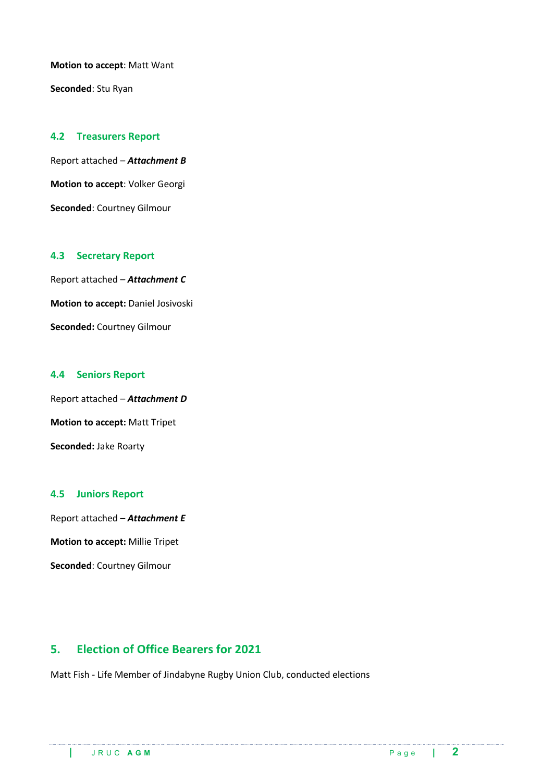**Motion to accept**: Matt Want

**Seconded**: Stu Ryan

#### **4.2 Treasurers Report**

Report attached – *Attachment B* **Motion to accept**: Volker Georgi **Seconded**: Courtney Gilmour

#### **4.3 Secretary Report**

Report attached – *Attachment C* **Motion to accept:** Daniel Josivoski **Seconded:** Courtney Gilmour

#### **4.4 Seniors Report**

Report attached – *Attachment D* **Motion to accept:** Matt Tripet **Seconded:** Jake Roarty

#### **4.5 Juniors Report**

Report attached – *Attachment E* **Motion to accept:** Millie Tripet **Seconded**: Courtney Gilmour

## **5. Election of Office Bearers for 2021**

Matt Fish - Life Member of Jindabyne Rugby Union Club, conducted elections

.<br>Die eine einder die erder die einer einer auferenden dem einer aufer einer aufer die einer einer einer aufer aufer aufer aufer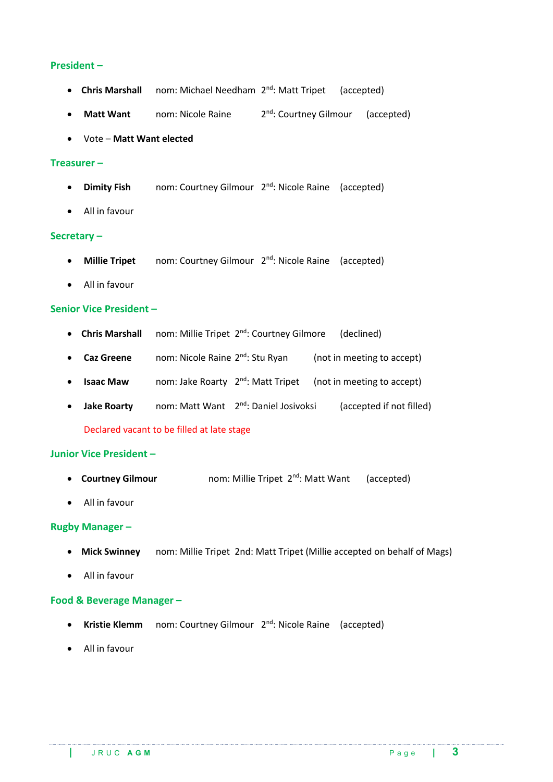#### **President –**

- **Chris Marshall** nom: Michael Needham 2<sup>nd</sup>: Matt Tripet (accepted)
- **Matt Want** nom: Nicole Raine 2<sup>nd</sup>: Courtney Gilmour (accepted)
- Vote **Matt Want elected**

#### **Treasurer –**

- **Dimity Fish** nom: Courtney Gilmour 2nd: Nicole Raine (accepted)
- All in favour

#### **Secretary –**

- **Millie Tripet** nom: Courtney Gilmour 2<sup>nd</sup>: Nicole Raine (accepted)
- All in favour

#### **Senior Vice President –**

- **Chris Marshall** nom: Millie Tripet 2<sup>nd</sup>: Courtney Gilmore (declined)
- **Caz Greene** nom: Nicole Raine 2nd: Stu Ryan (not in meeting to accept)
- **Isaac Maw** nom: Jake Roarty 2<sup>nd</sup>: Matt Tripet (not in meeting to accept)
- **Jake Roarty** nom: Matt Want 2nd: Daniel Josivoksi (accepted if not filled) Declared vacant to be filled at late stage

#### **Junior Vice President –**

- **Courtney Gilmour** nom: Millie Tripet 2nd: Matt Want (accepted)
- All in favour

#### **Rugby Manager –**

- **Mick Swinney** nom: Millie Tripet 2nd: Matt Tripet (Millie accepted on behalf of Mags)
- All in favour

#### **Food & Beverage Manager –**

• **Kristie Klemm** nom: Courtney Gilmour 2nd: Nicole Raine (accepted)

• All in favour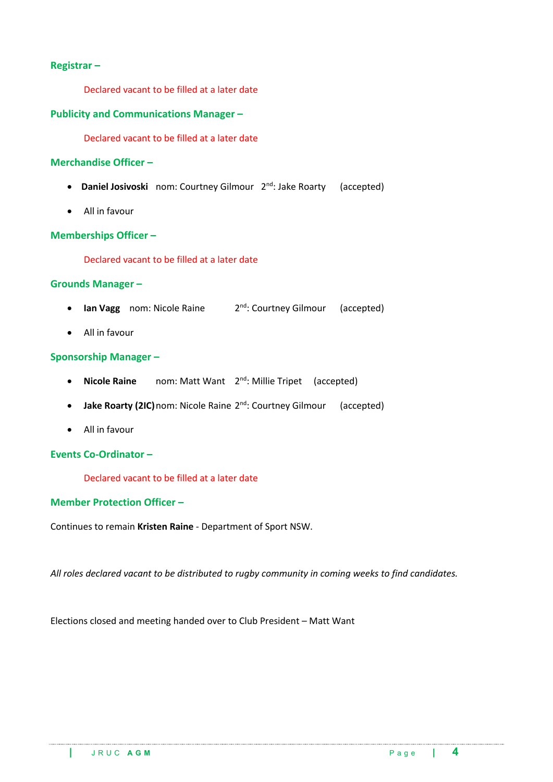#### **Registrar –**

Declared vacant to be filled at a later date

#### **Publicity and Communications Manager –**

Declared vacant to be filled at a later date

#### **Merchandise Officer –**

- **Daniel Josivoski** nom: Courtney Gilmour 2nd: Jake Roarty (accepted)
- All in favour

#### **Memberships Officer –**

Declared vacant to be filled at a later date

#### **Grounds Manager –**

- **Ian Vagg** nom: Nicole Raine 2<sup>nd</sup>: Courtney Gilmour (accepted)
- All in favour

#### **Sponsorship Manager –**

- **Nicole Raine** nom: Matt Want 2<sup>nd</sup>: Millie Tripet (accepted)
- **Jake Roarty (2IC)** nom: Nicole Raine 2<sup>nd</sup>: Courtney Gilmour (accepted)
- All in favour

#### **Events Co-Ordinator –**

Declared vacant to be filled at a later date

#### **Member Protection Officer –**

Continues to remain **Kristen Raine** - Department of Sport NSW.

*All roles declared vacant to be distributed to rugby community in coming weeks to find candidates.*

.<br>Advancementalis de componente ano qual componente ano componente ano componente ano componente ano componente ano compo

Elections closed and meeting handed over to Club President – Matt Want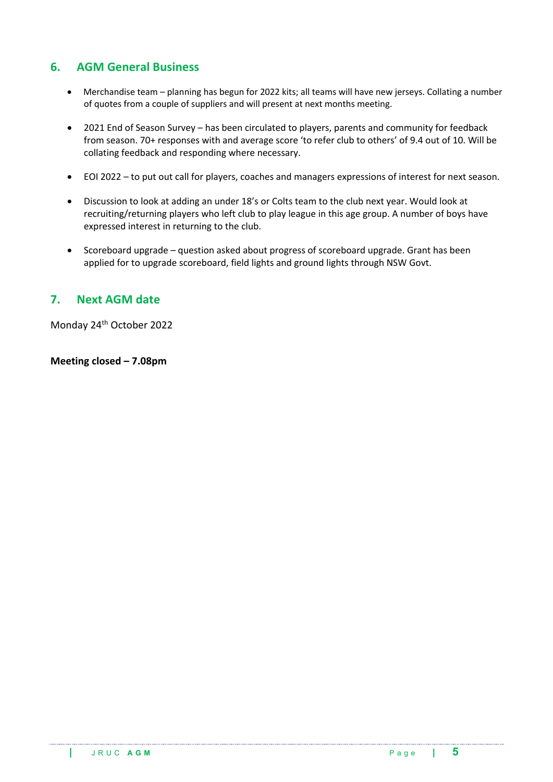## **6. AGM General Business**

- Merchandise team planning has begun for 2022 kits; all teams will have new jerseys. Collating a number of quotes from a couple of suppliers and will present at next months meeting.
- 2021 End of Season Survey has been circulated to players, parents and community for feedback from season. 70+ responses with and average score 'to refer club to others' of 9.4 out of 10. Will be collating feedback and responding where necessary.
- EOI 2022 to put out call for players, coaches and managers expressions of interest for next season.
- Discussion to look at adding an under 18's or Colts team to the club next year. Would look at recruiting/returning players who left club to play league in this age group. A number of boys have expressed interest in returning to the club.
- Scoreboard upgrade question asked about progress of scoreboard upgrade. Grant has been applied for to upgrade scoreboard, field lights and ground lights through NSW Govt.

## **7. Next AGM date**

Monday 24th October 2022

**Meeting closed – 7.08pm**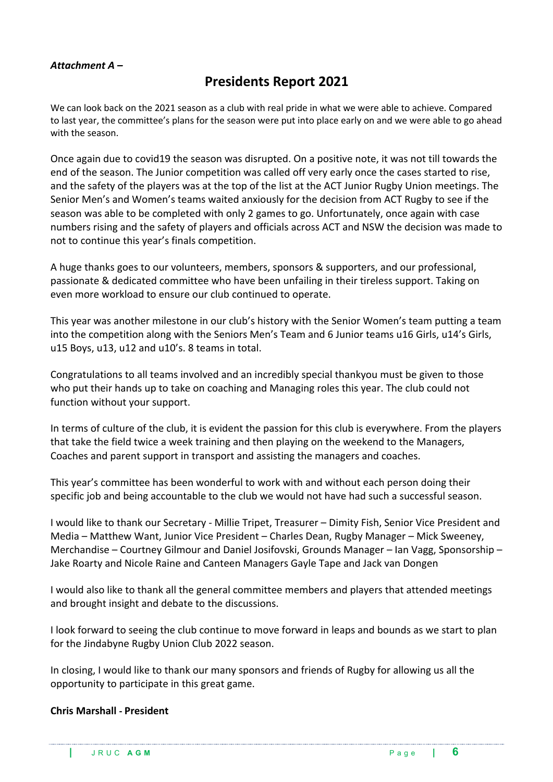### *Attachment A –*

## **Presidents Report 2021**

We can look back on the 2021 season as a club with real pride in what we were able to achieve. Compared to last year, the committee's plans for the season were put into place early on and we were able to go ahead with the season.

Once again due to covid19 the season was disrupted. On a positive note, it was not till towards the end of the season. The Junior competition was called off very early once the cases started to rise, and the safety of the players was at the top of the list at the ACT Junior Rugby Union meetings. The Senior Men's and Women's teams waited anxiously for the decision from ACT Rugby to see if the season was able to be completed with only 2 games to go. Unfortunately, once again with case numbers rising and the safety of players and officials across ACT and NSW the decision was made to not to continue this year's finals competition.

A huge thanks goes to our volunteers, members, sponsors & supporters, and our professional, passionate & dedicated committee who have been unfailing in their tireless support. Taking on even more workload to ensure our club continued to operate.

This year was another milestone in our club's history with the Senior Women's team putting a team into the competition along with the Seniors Men's Team and 6 Junior teams u16 Girls, u14's Girls, u15 Boys, u13, u12 and u10's. 8 teams in total.

Congratulations to all teams involved and an incredibly special thankyou must be given to those who put their hands up to take on coaching and Managing roles this year. The club could not function without your support.

In terms of culture of the club, it is evident the passion for this club is everywhere. From the players that take the field twice a week training and then playing on the weekend to the Managers, Coaches and parent support in transport and assisting the managers and coaches.

This year's committee has been wonderful to work with and without each person doing their specific job and being accountable to the club we would not have had such a successful season.

I would like to thank our Secretary - Millie Tripet, Treasurer – Dimity Fish, Senior Vice President and Media – Matthew Want, Junior Vice President – Charles Dean, Rugby Manager – Mick Sweeney, Merchandise – Courtney Gilmour and Daniel Josifovski, Grounds Manager – Ian Vagg, Sponsorship – Jake Roarty and Nicole Raine and Canteen Managers Gayle Tape and Jack van Dongen

I would also like to thank all the general committee members and players that attended meetings and brought insight and debate to the discussions.

I look forward to seeing the club continue to move forward in leaps and bounds as we start to plan for the Jindabyne Rugby Union Club 2022 season.

In closing, I would like to thank our many sponsors and friends of Rugby for allowing us all the opportunity to participate in this great game.

#### **Chris Marshall - President**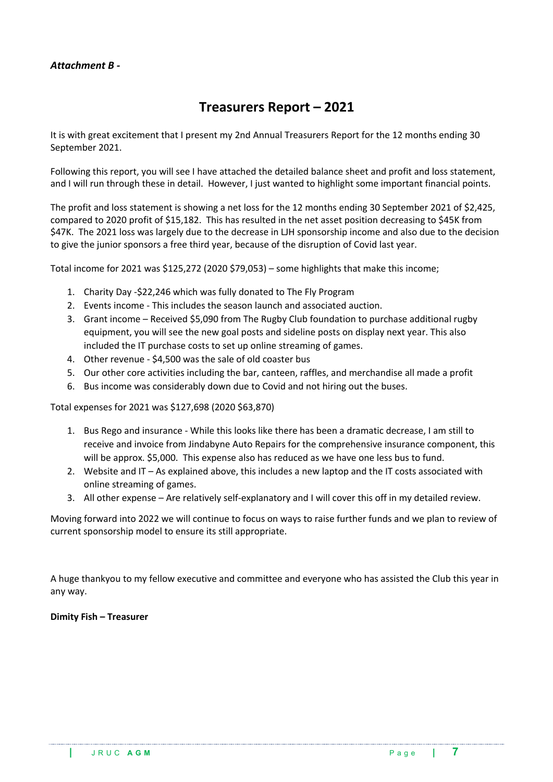### *Attachment B -*

## **Treasurers Report – 2021**

It is with great excitement that I present my 2nd Annual Treasurers Report for the 12 months ending 30 September 2021.

Following this report, you will see I have attached the detailed balance sheet and profit and loss statement, and I will run through these in detail. However, I just wanted to highlight some important financial points.

The profit and loss statement is showing a net loss for the 12 months ending 30 September 2021 of \$2,425, compared to 2020 profit of \$15,182. This has resulted in the net asset position decreasing to \$45K from \$47K. The 2021 loss was largely due to the decrease in LJH sponsorship income and also due to the decision to give the junior sponsors a free third year, because of the disruption of Covid last year.

Total income for 2021 was \$125,272 (2020 \$79,053) – some highlights that make this income;

- 1. Charity Day -\$22,246 which was fully donated to The Fly Program
- 2. Events income This includes the season launch and associated auction.
- 3. Grant income Received \$5,090 from The Rugby Club foundation to purchase additional rugby equipment, you will see the new goal posts and sideline posts on display next year. This also included the IT purchase costs to set up online streaming of games.
- 4. Other revenue \$4,500 was the sale of old coaster bus
- 5. Our other core activities including the bar, canteen, raffles, and merchandise all made a profit
- 6. Bus income was considerably down due to Covid and not hiring out the buses.

Total expenses for 2021 was \$127,698 (2020 \$63,870)

- 1. Bus Rego and insurance While this looks like there has been a dramatic decrease, I am still to receive and invoice from Jindabyne Auto Repairs for the comprehensive insurance component, this will be approx. \$5,000. This expense also has reduced as we have one less bus to fund.
- 2. Website and IT As explained above, this includes a new laptop and the IT costs associated with online streaming of games.
- 3. All other expense Are relatively self-explanatory and I will cover this off in my detailed review.

Moving forward into 2022 we will continue to focus on ways to raise further funds and we plan to review of current sponsorship model to ensure its still appropriate.

A huge thankyou to my fellow executive and committee and everyone who has assisted the Club this year in any way.

#### **Dimity Fish – Treasurer**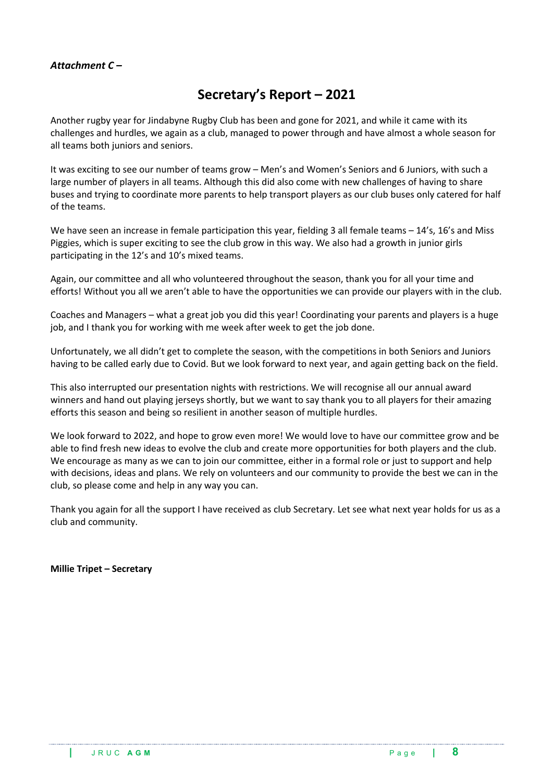### *Attachment C –*

## **Secretary's Report – 2021**

Another rugby year for Jindabyne Rugby Club has been and gone for 2021, and while it came with its challenges and hurdles, we again as a club, managed to power through and have almost a whole season for all teams both juniors and seniors.

It was exciting to see our number of teams grow – Men's and Women's Seniors and 6 Juniors, with such a large number of players in all teams. Although this did also come with new challenges of having to share buses and trying to coordinate more parents to help transport players as our club buses only catered for half of the teams.

We have seen an increase in female participation this year, fielding 3 all female teams - 14's, 16's and Miss Piggies, which is super exciting to see the club grow in this way. We also had a growth in junior girls participating in the 12's and 10's mixed teams.

Again, our committee and all who volunteered throughout the season, thank you for all your time and efforts! Without you all we aren't able to have the opportunities we can provide our players with in the club.

Coaches and Managers – what a great job you did this year! Coordinating your parents and players is a huge job, and I thank you for working with me week after week to get the job done.

Unfortunately, we all didn't get to complete the season, with the competitions in both Seniors and Juniors having to be called early due to Covid. But we look forward to next year, and again getting back on the field.

This also interrupted our presentation nights with restrictions. We will recognise all our annual award winners and hand out playing jerseys shortly, but we want to say thank you to all players for their amazing efforts this season and being so resilient in another season of multiple hurdles.

We look forward to 2022, and hope to grow even more! We would love to have our committee grow and be able to find fresh new ideas to evolve the club and create more opportunities for both players and the club. We encourage as many as we can to join our committee, either in a formal role or just to support and help with decisions, ideas and plans. We rely on volunteers and our community to provide the best we can in the club, so please come and help in any way you can.

Thank you again for all the support I have received as club Secretary. Let see what next year holds for us as a club and community.

**Millie Tripet – Secretary**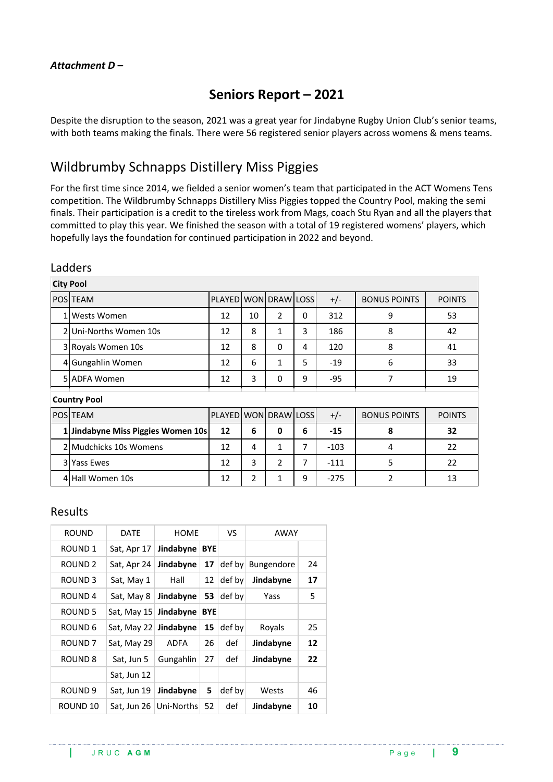## **Seniors Report – 2021**

Despite the disruption to the season, 2021 was a great year for Jindabyne Rugby Union Club's senior teams, with both teams making the finals. There were 56 registered senior players across womens & mens teams.

## Wildbrumby Schnapps Distillery Miss Piggies

For the first time since 2014, we fielded a senior women's team that participated in the ACT Womens Tens competition. The Wildbrumby Schnapps Distillery Miss Piggies topped the Country Pool, making the semi finals. Their participation is a credit to the tireless work from Mags, coach Stu Ryan and all the players that committed to play this year. We finished the season with a total of 19 registered womens' players, which hopefully lays the foundation for continued participation in 2022 and beyond.

|                | cuuucij                            |                      |                |                |          |        |                     |               |  |  |
|----------------|------------------------------------|----------------------|----------------|----------------|----------|--------|---------------------|---------------|--|--|
|                | <b>City Pool</b>                   |                      |                |                |          |        |                     |               |  |  |
|                | POS TEAM                           | PLAYED WON DRAW LOSS |                |                |          | $+/-$  | <b>BONUS POINTS</b> | <b>POINTS</b> |  |  |
|                | 1 Wests Women                      | 12                   | 10             | $\overline{2}$ | $\Omega$ | 312    | 9                   | 53            |  |  |
|                | 2 Uni-Norths Women 10s             | 12                   | 8              | 1              | 3        | 186    | 8                   | 42            |  |  |
|                | 3 Royals Women 10s                 | 12                   | 8              | 0              | 4        | 120    | 8                   | 41            |  |  |
|                | 4 Gungahlin Women                  | 12                   | 6              | $\mathbf{1}$   | 5        | $-19$  | 6                   | 33            |  |  |
|                | 5 ADFA Women                       | 12                   | 3              | 0              | 9        | -95    | 7                   | 19            |  |  |
|                | <b>Country Pool</b>                |                      |                |                |          |        |                     |               |  |  |
|                | POS TEAM                           | PLAYED WON DRAW LOSS |                |                |          | $+/-$  | <b>BONUS POINTS</b> | <b>POINTS</b> |  |  |
|                | 1 Jindabyne Miss Piggies Women 10s | 12                   | 6              | 0              | 6        | $-15$  | 8                   | 32            |  |  |
|                | 2 Mudchicks 10s Womens             | 12                   | 4              | 1              | 7        | $-103$ | 4                   | 22            |  |  |
| $\overline{3}$ | <b>Yass Ewes</b>                   | 12                   | 3              | $\overline{2}$ | 7        | $-111$ | 5                   | 22            |  |  |
|                | 4 Hall Women 10s                   | 12                   | $\overline{2}$ | 1              | 9        | $-275$ | $\overline{2}$      | 13            |  |  |

### Ladders

### Results

| ROUND              | DATE        | <b>HOME</b> |            | VS     | AWAY              |    |
|--------------------|-------------|-------------|------------|--------|-------------------|----|
| ROUND <sub>1</sub> | Sat, Apr 17 | Jindabyne   | <b>BYE</b> |        |                   |    |
| ROUND <sub>2</sub> | Sat, Apr 24 | Jindabyne   | 17         | def by | <b>Bungendore</b> | 24 |
| ROUND <sub>3</sub> | Sat, May 1  | Hall        | 12         | def by | Jindabyne         | 17 |
| ROUND <sub>4</sub> | Sat, May 8  | Jindabyne   | 53         | def by | Yass              | 5  |
| ROUND <sub>5</sub> | Sat, May 15 | Jindabyne   | <b>BYE</b> |        |                   |    |
| ROUND 6            | Sat, May 22 | Jindabyne   | 15         | def by | Royals            | 25 |
| ROUND <sub>7</sub> | Sat, May 29 | ADFA        | 26         | def    | Jindabyne         | 12 |
| ROUND 8            | Sat, Jun 5  | Gungahlin   | 27         | def    | Jindabyne         | 22 |
|                    | Sat, Jun 12 |             |            |        |                   |    |
| ROUND <sub>9</sub> | Sat, Jun 19 | Jindabyne   | 5          | def by | Wests             | 46 |
| ROUND 10           | Sat, Jun 26 | Uni-Norths  | 52         | def    | Jindabyne         | 10 |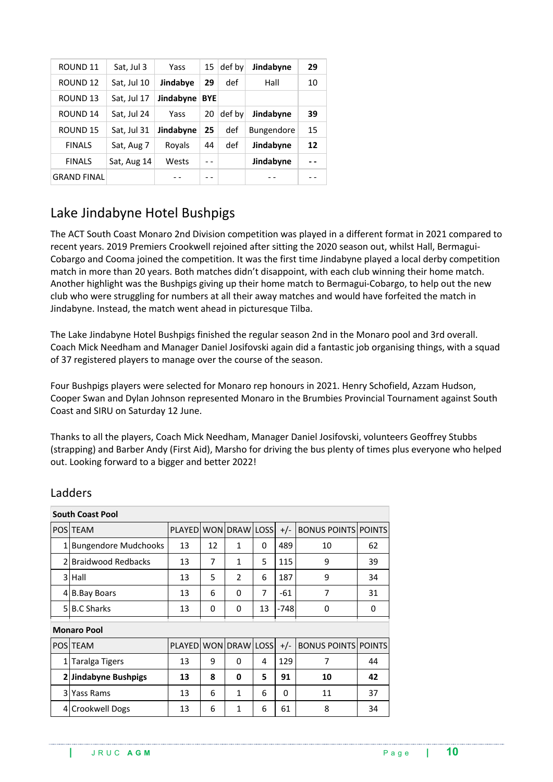| ROUND <sub>11</sub> | Sat, Jul 3  | Yass      | 15         | def by | Jindabyne         | 29 |
|---------------------|-------------|-----------|------------|--------|-------------------|----|
| ROUND 12            | Sat, Jul 10 | Jindabye  | 29         | def    | Hall              | 10 |
| ROUND <sub>13</sub> | Sat, Jul 17 | Jindabyne | <b>BYE</b> |        |                   |    |
| ROUND 14            | Sat, Jul 24 | Yass      | 20         | def by | Jindabyne         | 39 |
| ROUND 15            | Sat, Jul 31 | Jindabyne | 25         | def    | <b>Bungendore</b> | 15 |
| <b>FINALS</b>       | Sat, Aug 7  | Royals    | 44         | def    | Jindabyne         | 12 |
| <b>FINALS</b>       | Sat, Aug 14 | Wests     |            |        | Jindabyne         |    |
| <b>GRAND FINAL</b>  |             |           |            |        |                   |    |

## Lake Jindabyne Hotel Bushpigs

The ACT South Coast Monaro 2nd Division competition was played in a different format in 2021 compared to recent years. 2019 Premiers Crookwell rejoined after sitting the 2020 season out, whilst Hall, Bermagui-Cobargo and Cooma joined the competition. It was the first time Jindabyne played a local derby competition match in more than 20 years. Both matches didn't disappoint, with each club winning their home match. Another highlight was the Bushpigs giving up their home match to Bermagui-Cobargo, to help out the new club who were struggling for numbers at all their away matches and would have forfeited the match in Jindabyne. Instead, the match went ahead in picturesque Tilba.

The Lake Jindabyne Hotel Bushpigs finished the regular season 2nd in the Monaro pool and 3rd overall. Coach Mick Needham and Manager Daniel Josifovski again did a fantastic job organising things, with a squad of 37 registered players to manage over the course of the season.

Four Bushpigs players were selected for Monaro rep honours in 2021. Henry Schofield, Azzam Hudson, Cooper Swan and Dylan Johnson represented Monaro in the Brumbies Provincial Tournament against South Coast and SIRU on Saturday 12 June.

Thanks to all the players, Coach Mick Needham, Manager Daniel Josifovski, volunteers Geoffrey Stubbs (strapping) and Barber Andy (First Aid), Marsho for driving the bus plenty of times plus everyone who helped out. Looking forward to a bigger and better 2022!

|               | <b>South Coast Pool</b>     |                      |    |               |    |          |                            |    |
|---------------|-----------------------------|----------------------|----|---------------|----|----------|----------------------------|----|
|               | <b>POSITEAM</b>             | PLAYED WON DRAW LOSS |    |               |    | $+/-$    | <b>BONUS POINTS POINTS</b> |    |
|               | <b>Bungendore Mudchooks</b> | 13                   | 12 | 1             | 0  | 489      | 10                         | 62 |
| $\mathfrak z$ | <b>Braidwood Redbacks</b>   | 13                   | 7  | 1             | 5  | 115      | 9                          | 39 |
| 3             | Hall                        | 13                   | 5  | $\mathcal{P}$ | 6  | 187      | 9                          | 34 |
| 41            | <b>B.Bay Boars</b>          | 13                   | 6  | 0             | 7  | $-61$    | 7                          | 31 |
| 5             | <b>B.C Sharks</b>           | 13                   | 0  | 0             | 13 | $-748$   | 0                          | 0  |
|               | <b>Monaro Pool</b>          |                      |    |               |    |          |                            |    |
|               | <b>POSITEAM</b>             | PLAYED WON DRAW LOSS |    |               |    | $+/-$    | <b>BONUS POINTS POINTS</b> |    |
| 1             | Taralga Tigers              | 13                   | 9  | 0             | 4  | 129      | 7                          | 44 |
| $\mathbf{2}$  | Jindabyne Bushpigs          | 13                   | 8  | 0             | 5  | 91       | 10                         | 42 |
| 3             | Yass Rams                   | 13                   | 6  | $\mathbf{1}$  | 6  | $\Omega$ | 11                         | 37 |
| 4             | Crookwell Dogs              | 13                   | 6  | 1             | 6  | 61       | 8                          | 34 |

### Ladders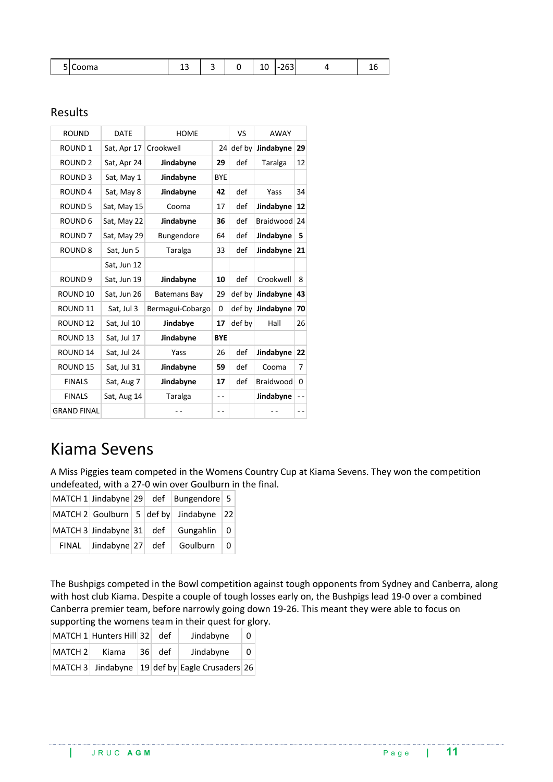| . | ∽<br>$m -$<br>. ۱۱ م | ∸ | سه |  | ∸∽<br>__ | $\sim$ $\sim$<br>-<br>200 |  |  |
|---|----------------------|---|----|--|----------|---------------------------|--|--|
|---|----------------------|---|----|--|----------|---------------------------|--|--|

## Results

| <b>ROUND</b>        | <b>DATE</b> | <b>HOME</b>      |            | VS     | AWAY                       |    |
|---------------------|-------------|------------------|------------|--------|----------------------------|----|
| <b>ROUND 1</b>      | Sat, Apr 17 | Crookwell        | 24         | def by | Jindabyne                  | 29 |
| <b>ROUND 2</b>      | Sat, Apr 24 | Jindabyne        | 29         | def    | Taralga                    | 12 |
| <b>ROUND 3</b>      | Sat, May 1  | Jindabyne        | <b>BYE</b> |        |                            |    |
| <b>ROUND4</b>       | Sat, May 8  | Jindabyne        | 42         | def    | Yass                       | 34 |
| <b>ROUND 5</b>      | Sat, May 15 | Cooma            | 17         | def    | Jindabyne                  | 12 |
| ROUND <sub>6</sub>  | Sat, May 22 | Jindabyne        | 36         | def    | Braidwood                  | 24 |
| ROUND <sub>7</sub>  | Sat, May 29 | Bungendore       | 64         | def    | Jindabyne                  | 5  |
| <b>ROUND 8</b>      | Sat, Jun 5  | Taralga          | 33         | def    | Jindabyne                  | 21 |
|                     | Sat, Jun 12 |                  |            |        |                            |    |
| ROUND <sub>9</sub>  | Sat, Jun 19 | Jindabyne        | 10         | def    | Crookwell                  | 8  |
| ROUND <sub>10</sub> | Sat, Jun 26 | Batemans Bay     | 29         | def by | Jindabyne                  | 43 |
| ROUND <sub>11</sub> | Sat, Jul 3  | Bermagui-Cobargo | 0          |        | $\text{def }$ by Jindabyne | 70 |
| ROUND <sub>12</sub> | Sat, Jul 10 | Jindabye         | 17         | def by | Hall                       | 26 |
| ROUND <sub>13</sub> | Sat, Jul 17 | Jindabyne        | <b>BYE</b> |        |                            |    |
| ROUND <sub>14</sub> | Sat, Jul 24 | Yass             | 26         | def    | Jindabyne                  | 22 |
| <b>ROUND 15</b>     | Sat, Jul 31 | Jindabyne        | 59         | def    | Cooma                      | 7  |
| <b>FINALS</b>       | Sat, Aug 7  | Jindabyne        | 17         | def    | Braidwood                  | 0  |
| <b>FINALS</b>       | Sat, Aug 14 | Taralga          | - -        |        | Jindabyne                  |    |
| <b>GRAND FINAL</b>  |             |                  | - -        |        |                            |    |

# Kiama Sevens

A Miss Piggies team competed in the Womens Country Cup at Kiama Sevens. They won the competition undefeated, with a 27-0 win over Goulburn in the final.

|                                    |  | MATCH 1 Jindabyne 29 def Bungendore 5  |  |
|------------------------------------|--|----------------------------------------|--|
|                                    |  | MATCH 2 Goulburn 5 def by Jindabyne 22 |  |
|                                    |  | MATCH 3 Jindabyne $31$ def Gungahlin 0 |  |
| FINAL $ $ Jindabyne $ 27 $ def $ $ |  | Goulburn $\vert 0$                     |  |

The Bushpigs competed in the Bowl competition against tough opponents from Sydney and Canberra, along with host club Kiama. Despite a couple of tough losses early on, the Bushpigs lead 19-0 over a combined Canberra premier team, before narrowly going down 19-26. This meant they were able to focus on supporting the womens team in their quest for glory.

|         | MATCH 1 Hunters Hill 32 |                 | def | Jindabyne                                      | 0 |
|---------|-------------------------|-----------------|-----|------------------------------------------------|---|
| MATCH 2 | Kiama                   | 36 <sup>1</sup> | def | Jindabvne                                      | 0 |
|         |                         |                 |     | MATCH 3 Jindabyne 19 def by Eagle Crusaders 26 |   |